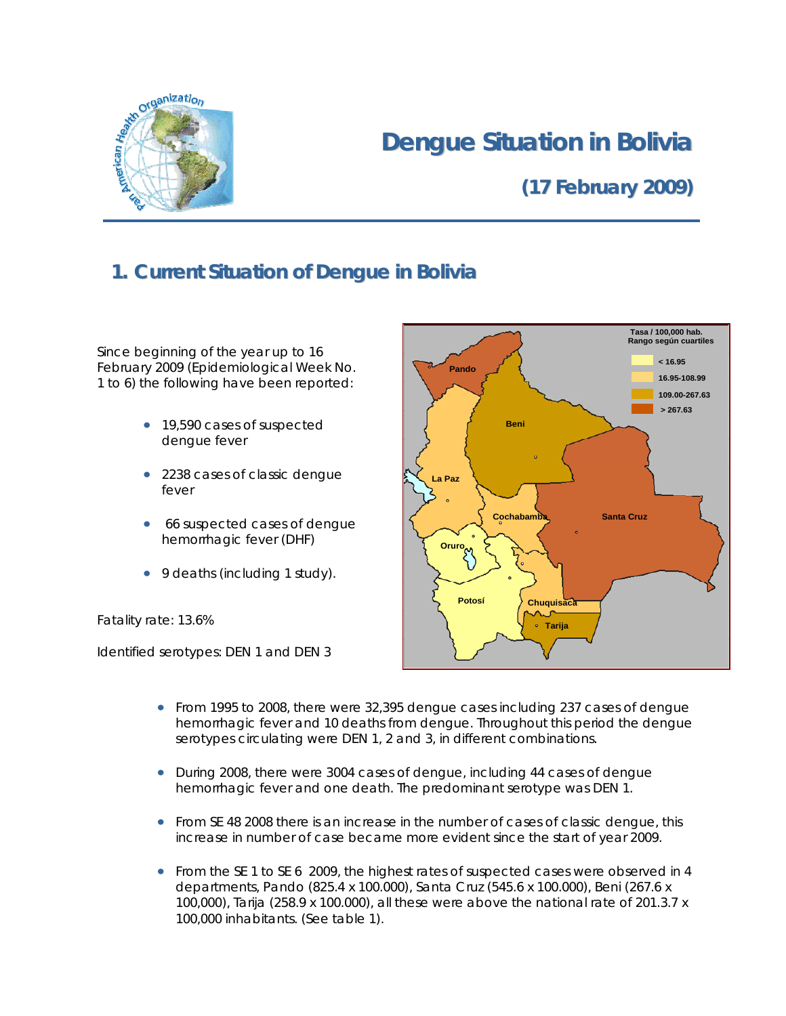

# **Dengue Situation in Bolivia**

# **(17 February 2009)**

## **1. Current Situation of Dengue in Bolivia**

Since beginning of the year up to 16 February 2009 (Epidemiological Week No. 1 to 6) the following have been reported:

- 19,590 cases of suspected dengue fever
- 2238 cases of classic dengue fever
- 66 suspected cases of dengue hemorrhagic fever (DHF)
- 9 deaths (including 1 study).

Fatality rate: 13.6%

Identified serotypes: DEN 1 and DEN 3



- From 1995 to 2008, there were 32,395 dengue cases including 237 cases of dengue hemorrhagic fever and 10 deaths from dengue. Throughout this period the dengue serotypes circulating were DEN 1, 2 and 3, in different combinations.
- During 2008, there were 3004 cases of dengue, including 44 cases of dengue hemorrhagic fever and one death. The predominant serotype was DEN 1.
- From SE 48 2008 there is an increase in the number of cases of classic dengue, this increase in number of case became more evident since the start of year 2009.
- From the SE 1 to SE 6 2009, the highest rates of suspected cases were observed in 4 departments, Pando (825.4 x 100.000), Santa Cruz (545.6 x 100.000), Beni (267.6 x 100,000), Tarija (258.9 x 100.000), all these were above the national rate of 201.3.7 x 100,000 inhabitants. (See table 1).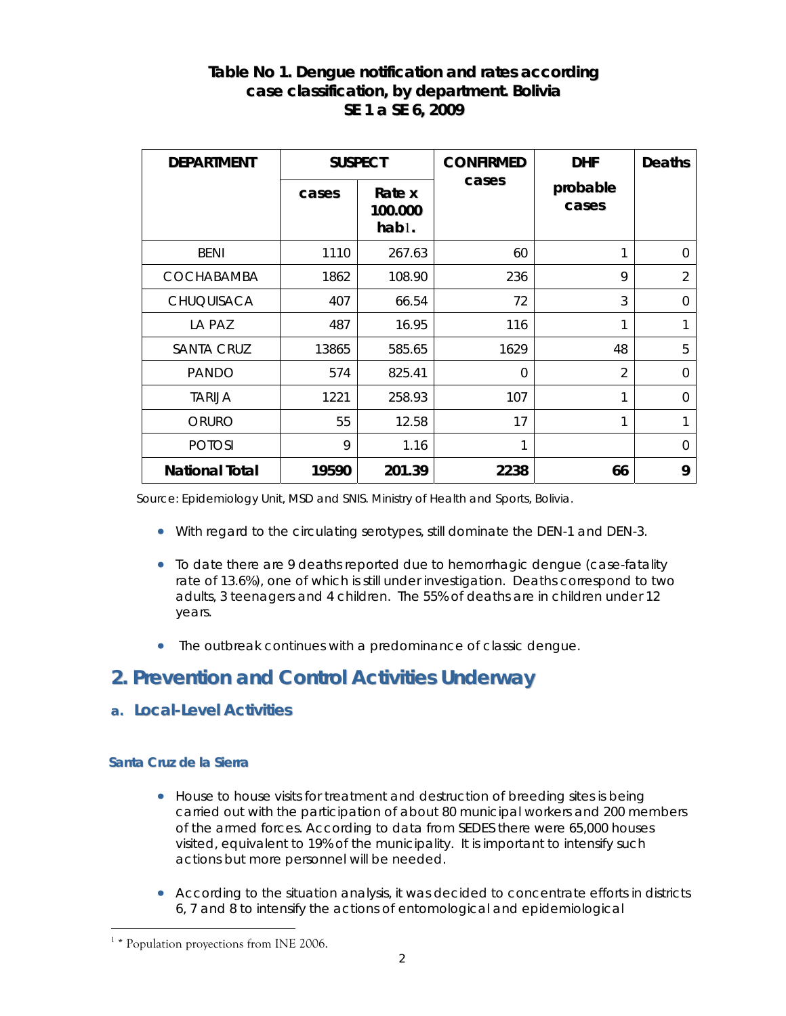### **Table No 1. Dengue notification and rates according case classification, by department. Bolivia SE 1 a SE 6, 2009**

| <b>DEPARTMENT</b>     | <b>SUSPECT</b> |                            | <b>CONFIRMED</b> | <b>DHF</b>        | <b>Deaths</b>  |
|-----------------------|----------------|----------------------------|------------------|-------------------|----------------|
|                       | cases          | Rate x<br>100.000<br>hab1. | cases            | probable<br>cases |                |
| <b>BENI</b>           | 1110           | 267.63                     | 60               | 1                 | $\Omega$       |
| <b>COCHABAMBA</b>     | 1862           | 108.90                     | 236              | 9                 | $\mathfrak{D}$ |
| <b>CHUQUISACA</b>     | 407            | 66.54                      | 72               | 3                 | $\Omega$       |
| LA PAZ                | 487            | 16.95                      | 116              | 1                 |                |
| <b>SANTA CRUZ</b>     | 13865          | 585.65                     | 1629             | 48                | 5              |
| <b>PANDO</b>          | 574            | 825.41                     | $\Omega$         | $\overline{2}$    | $\Omega$       |
| <b>TARIJA</b>         | 1221           | 258.93                     | 107              | 1                 | $\Omega$       |
| ORURO                 | 55             | 12.58                      | 17               | 1                 | 1              |
| <b>POTOSI</b>         | 9              | 1.16                       | 1                |                   | $\Omega$       |
| <b>National Total</b> | 19590          | 201.39                     | 2238             | 66                | 9              |

Source: Epidemiology Unit, MSD and SNIS. Ministry of Health and Sports, Bolivia.

- With regard to the circulating serotypes, still dominate the DEN-1 and DEN-3.
- To date there are 9 deaths reported due to hemorrhagic dengue (case-fatality rate of 13.6%), one of which is still under investigation. Deaths correspond to two adults, 3 teenagers and 4 children. The 55% of deaths are in children under 12 years.
- The outbreak continues with a predominance of classic dengue.

### **2. Prevention and Control Activities Underway**

#### **a. Local-Level Activities**

#### **Santa Cruz de la Sierra**

 $\overline{a}$ 

- House to house visits for treatment and destruction of breeding sites is being carried out with the participation of about 80 municipal workers and 200 members of the armed forces. According to data from SEDES there were 65,000 houses visited, equivalent to 19% of the municipality. It is important to intensify such actions but more personnel will be needed.
- According to the situation analysis, it was decided to concentrate efforts in districts 6, 7 and 8 to intensify the actions of entomological and epidemiological

<sup>&</sup>lt;sup>1</sup> \* Population proyections from INE 2006.